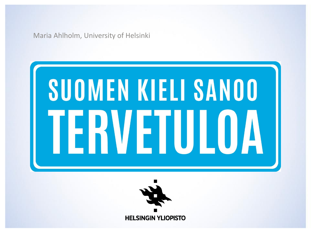Maria Ahlholm, University of Helsinki

## SUOMEN KIELI SANOO **ERVETULOA**

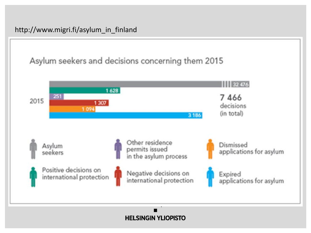

#### **HELSINGIN YLIOPISTO**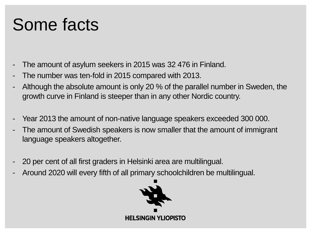#### Some facts

- The amount of asylum seekers in 2015 was 32 476 in Finland.
- The number was ten-fold in 2015 compared with 2013.
- Although the absolute amount is only 20 % of the parallel number in Sweden, the growth curve in Finland is steeper than in any other Nordic country.
- Year 2013 the amount of non-native language speakers exceeded 300 000.
- The amount of Swedish speakers is now smaller that the amount of immigrant language speakers altogether.
- 20 per cent of all first graders in Helsinki area are multilingual.
- Around 2020 will every fifth of all primary schoolchildren be multilingual.

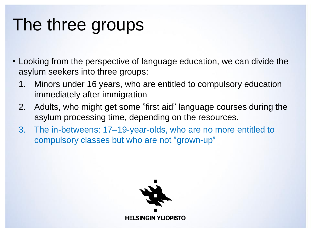#### The three groups

- Looking from the perspective of language education, we can divide the asylum seekers into three groups:
	- 1. Minors under 16 years, who are entitled to compulsory education immediately after immigration
	- 2. Adults, who might get some "first aid" language courses during the asylum processing time, depending on the resources.
	- 3. The in-betweens: 17–19-year-olds, who are no more entitled to compulsory classes but who are not "grown-up"

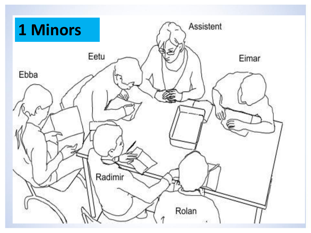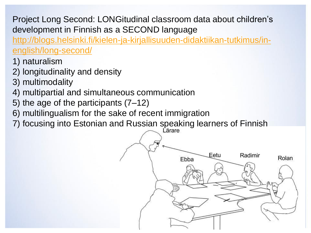Project Long Second: LONGitudinal classroom data about children's development in Finnish as a SECOND language

[http://blogs.helsinki.fi/kielen-ja-kirjallisuuden-didaktiikan-tutkimus/in](http://blogs.helsinki.fi/kielen-ja-kirjallisuuden-didaktiikan-tutkimus/in-english/long-second/)english/long-second/

- 1) naturalism
- 2) longitudinality and density
- 3) multimodality
- 4) multipartial and simultaneous communication
- 5) the age of the participants (7–12)
- 6) multilingualism for the sake of recent immigration
- 7) focusing into Estonian and Russian speaking learners of Finnish

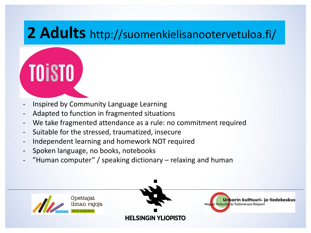#### **2 Adults** http://suomenkielisanootervetuloa.fi/

### **TOISTO**

- Inspired by Community Language Learning
- Adapted to function in fragmented situations
- We take fragmented attendance as a rule: no commitment required
- Suitable for the stressed, traumatized, insecure
- Independent learning and homework NOT required
- Spoken language, no books, notebooks
- "Human computer" / speaking dictionary relaxing and human

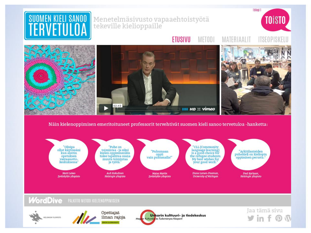

Näin kielenoppimisen emeritoituneet professorit tervehtivät suomen kieli sanoo tervetuloa -hanketta:

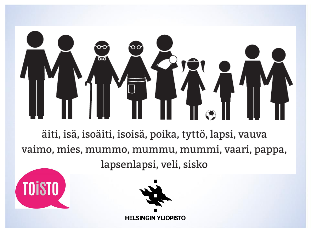# ळ

äiti, isä, isoäiti, isoisä, poika, tyttö, lapsi, vauva vaimo, mies, mummo, mummu, mummi, vaari, pappa, lapsenlapsi, veli, sisko